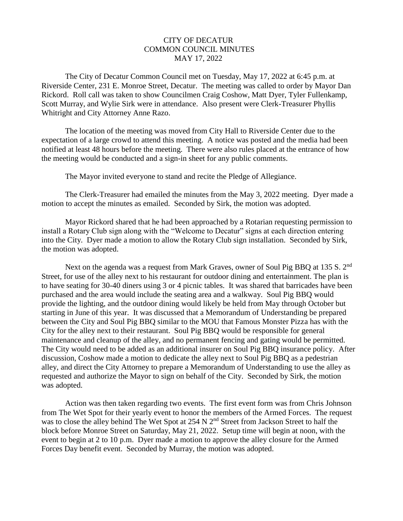## CITY OF DECATUR COMMON COUNCIL MINUTES MAY 17, 2022

 The City of Decatur Common Council met on Tuesday, May 17, 2022 at 6:45 p.m. at Riverside Center, 231 E. Monroe Street, Decatur. The meeting was called to order by Mayor Dan Rickord. Roll call was taken to show Councilmen Craig Coshow, Matt Dyer, Tyler Fullenkamp, Scott Murray, and Wylie Sirk were in attendance. Also present were Clerk-Treasurer Phyllis Whitright and City Attorney Anne Razo.

The location of the meeting was moved from City Hall to Riverside Center due to the expectation of a large crowd to attend this meeting. A notice was posted and the media had been notified at least 48 hours before the meeting. There were also rules placed at the entrance of how the meeting would be conducted and a sign-in sheet for any public comments.

The Mayor invited everyone to stand and recite the Pledge of Allegiance.

 The Clerk-Treasurer had emailed the minutes from the May 3, 2022 meeting. Dyer made a motion to accept the minutes as emailed. Seconded by Sirk, the motion was adopted.

 Mayor Rickord shared that he had been approached by a Rotarian requesting permission to install a Rotary Club sign along with the "Welcome to Decatur" signs at each direction entering into the City. Dyer made a motion to allow the Rotary Club sign installation. Seconded by Sirk, the motion was adopted.

Next on the agenda was a request from Mark Graves, owner of Soul Pig BBQ at 135 S. 2<sup>nd</sup> Street, for use of the alley next to his restaurant for outdoor dining and entertainment. The plan is to have seating for 30-40 diners using 3 or 4 picnic tables. It was shared that barricades have been purchased and the area would include the seating area and a walkway. Soul Pig BBQ would provide the lighting, and the outdoor dining would likely be held from May through October but starting in June of this year. It was discussed that a Memorandum of Understanding be prepared between the City and Soul Pig BBQ similar to the MOU that Famous Monster Pizza has with the City for the alley next to their restaurant. Soul Pig BBQ would be responsible for general maintenance and cleanup of the alley, and no permanent fencing and gating would be permitted. The City would need to be added as an additional insurer on Soul Pig BBQ insurance policy. After discussion, Coshow made a motion to dedicate the alley next to Soul Pig BBQ as a pedestrian alley, and direct the City Attorney to prepare a Memorandum of Understanding to use the alley as requested and authorize the Mayor to sign on behalf of the City. Seconded by Sirk, the motion was adopted.

 Action was then taken regarding two events. The first event form was from Chris Johnson from The Wet Spot for their yearly event to honor the members of the Armed Forces. The request was to close the alley behind The Wet Spot at  $254 \text{ N } 2^{\text{nd}}$  Street from Jackson Street to half the block before Monroe Street on Saturday, May 21, 2022. Setup time will begin at noon, with the event to begin at 2 to 10 p.m. Dyer made a motion to approve the alley closure for the Armed Forces Day benefit event. Seconded by Murray, the motion was adopted.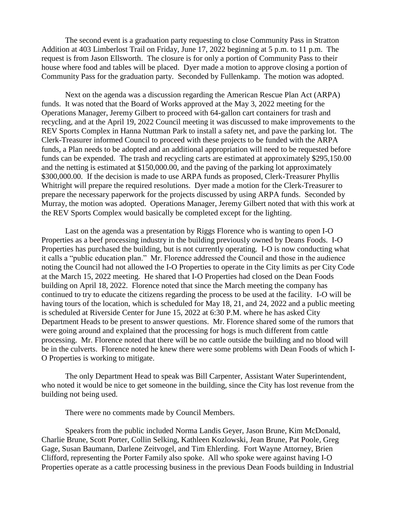The second event is a graduation party requesting to close Community Pass in Stratton Addition at 403 Limberlost Trail on Friday, June 17, 2022 beginning at 5 p.m. to 11 p.m. The request is from Jason Ellsworth. The closure is for only a portion of Community Pass to their house where food and tables will be placed. Dyer made a motion to approve closing a portion of Community Pass for the graduation party. Seconded by Fullenkamp. The motion was adopted.

 Next on the agenda was a discussion regarding the American Rescue Plan Act (ARPA) funds. It was noted that the Board of Works approved at the May 3, 2022 meeting for the Operations Manager, Jeremy Gilbert to proceed with 64-gallon cart containers for trash and recycling, and at the April 19, 2022 Council meeting it was discussed to make improvements to the REV Sports Complex in Hanna Nuttman Park to install a safety net, and pave the parking lot. The Clerk-Treasurer informed Council to proceed with these projects to be funded with the ARPA funds, a Plan needs to be adopted and an additional appropriation will need to be requested before funds can be expended. The trash and recycling carts are estimated at approximately \$295,150.00 and the netting is estimated at \$150,000.00, and the paving of the parking lot approximately \$300,000.00. If the decision is made to use ARPA funds as proposed, Clerk-Treasurer Phyllis Whitright will prepare the required resolutions. Dyer made a motion for the Clerk-Treasurer to prepare the necessary paperwork for the projects discussed by using ARPA funds. Seconded by Murray, the motion was adopted. Operations Manager, Jeremy Gilbert noted that with this work at the REV Sports Complex would basically be completed except for the lighting.

 Last on the agenda was a presentation by Riggs Florence who is wanting to open I-O Properties as a beef processing industry in the building previously owned by Deans Foods. I-O Properties has purchased the building, but is not currently operating. I-O is now conducting what it calls a "public education plan." Mr. Florence addressed the Council and those in the audience noting the Council had not allowed the I-O Properties to operate in the City limits as per City Code at the March 15, 2022 meeting. He shared that I-O Properties had closed on the Dean Foods building on April 18, 2022. Florence noted that since the March meeting the company has continued to try to educate the citizens regarding the process to be used at the facility. I-O will be having tours of the location, which is scheduled for May 18, 21, and 24, 2022 and a public meeting is scheduled at Riverside Center for June 15, 2022 at 6:30 P.M. where he has asked City Department Heads to be present to answer questions. Mr. Florence shared some of the rumors that were going around and explained that the processing for hogs is much different from cattle processing. Mr. Florence noted that there will be no cattle outside the building and no blood will be in the culverts. Florence noted he knew there were some problems with Dean Foods of which I-O Properties is working to mitigate.

 The only Department Head to speak was Bill Carpenter, Assistant Water Superintendent, who noted it would be nice to get someone in the building, since the City has lost revenue from the building not being used.

There were no comments made by Council Members.

 Speakers from the public included Norma Landis Geyer, Jason Brune, Kim McDonald, Charlie Brune, Scott Porter, Collin Selking, Kathleen Kozlowski, Jean Brune, Pat Poole, Greg Gage, Susan Baumann, Darlene Zeitvogel, and Tim Ehlerding. Fort Wayne Attorney, Brien Clifford, representing the Porter Family also spoke. All who spoke were against having I-O Properties operate as a cattle processing business in the previous Dean Foods building in Industrial